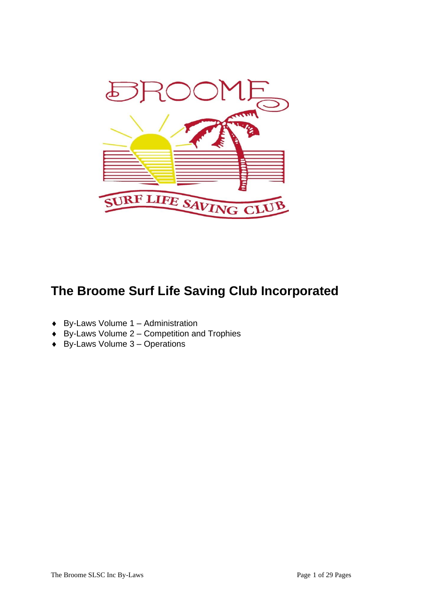

# **The Broome Surf Life Saving Club Incorporated**

- $\triangleleft$  By-Laws Volume 1 Administration
- $\leftrightarrow$  By-Laws Volume 2 Competition and Trophies
- $\triangleleft$  By-Laws Volume 3 Operations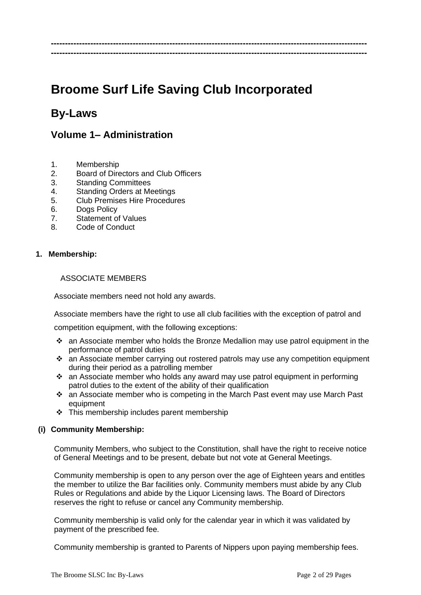# **Broome Surf Life Saving Club Incorporated**

**---------------------------------------------------------------------------------------------------------------- ----------------------------------------------------------------------------------------------------------------**

## **By-Laws**

## **Volume 1– Administration**

- 1. Membership
- 2. Board of Directors and Club Officers
- 3. Standing Committees
- 4. Standing Orders at Meetings
- 5. Club Premises Hire Procedures
- 6. Dogs Policy
- 7. Statement of Values
- 8. Code of Conduct

#### **1. Membership:**

#### ASSOCIATE MEMBERS

Associate members need not hold any awards.

Associate members have the right to use all club facilities with the exception of patrol and

competition equipment, with the following exceptions:

- ❖ an Associate member who holds the Bronze Medallion may use patrol equipment in the performance of patrol duties
- ❖ an Associate member carrying out rostered patrols may use any competition equipment during their period as a patrolling member
- ❖ an Associate member who holds any award may use patrol equipment in performing patrol duties to the extent of the ability of their qualification
- ❖ an Associate member who is competing in the March Past event may use March Past equipment
- ❖ This membership includes parent membership

#### **(i) Community Membership:**

Community Members, who subject to the Constitution, shall have the right to receive notice of General Meetings and to be present, debate but not vote at General Meetings.

Community membership is open to any person over the age of Eighteen years and entitles the member to utilize the Bar facilities only. Community members must abide by any Club Rules or Regulations and abide by the Liquor Licensing laws. The Board of Directors reserves the right to refuse or cancel any Community membership.

Community membership is valid only for the calendar year in which it was validated by payment of the prescribed fee.

Community membership is granted to Parents of Nippers upon paying membership fees.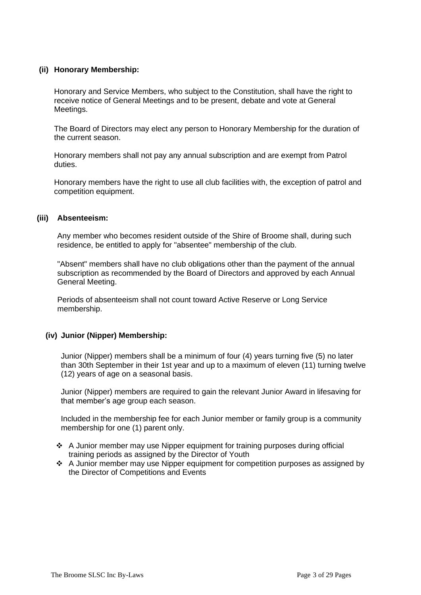#### **(ii) Honorary Membership:**

Honorary and Service Members, who subject to the Constitution, shall have the right to receive notice of General Meetings and to be present, debate and vote at General Meetings.

The Board of Directors may elect any person to Honorary Membership for the duration of the current season.

Honorary members shall not pay any annual subscription and are exempt from Patrol duties.

Honorary members have the right to use all club facilities with, the exception of patrol and competition equipment.

#### **(iii) Absenteeism:**

Any member who becomes resident outside of the Shire of Broome shall, during such residence, be entitled to apply for "absentee" membership of the club.

"Absent" members shall have no club obligations other than the payment of the annual subscription as recommended by the Board of Directors and approved by each Annual General Meeting.

Periods of absenteeism shall not count toward Active Reserve or Long Service membership.

#### **(iv) Junior (Nipper) Membership:**

Junior (Nipper) members shall be a minimum of four (4) years turning five (5) no later than 30th September in their 1st year and up to a maximum of eleven (11) turning twelve (12) years of age on a seasonal basis.

Junior (Nipper) members are required to gain the relevant Junior Award in lifesaving for that member's age group each season.

Included in the membership fee for each Junior member or family group is a community membership for one (1) parent only.

- ❖ A Junior member may use Nipper equipment for training purposes during official training periods as assigned by the Director of Youth
- ❖ A Junior member may use Nipper equipment for competition purposes as assigned by the Director of Competitions and Events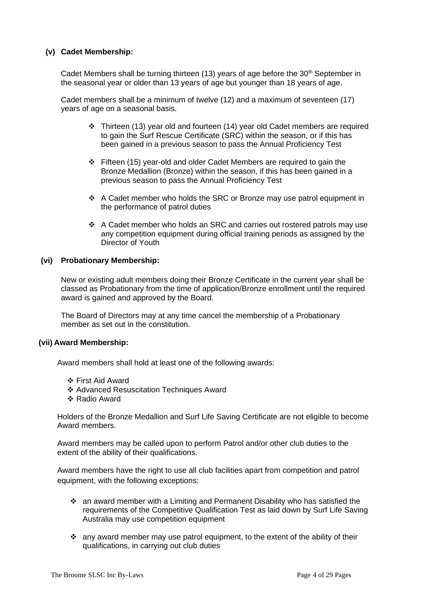#### **(v) Cadet Membership:**

Cadet Members shall be turning thirteen (13) years of age before the  $30<sup>th</sup>$  September in the seasonal year or older than 13 years of age but younger than 18 years of age.

Cadet members shall be a minimum of twelve (12) and a maximum of seventeen (17) years of age on a seasonal basis.

- ❖ Thirteen (13) year old and fourteen (14) year old Cadet members are required to gain the Surf Rescue Certificate (SRC) within the season, or if this has been gained in a previous season to pass the Annual Proficiency Test
- ❖ Fifteen (15) year-old and older Cadet Members are required to gain the Bronze Medallion (Bronze) within the season, if this has been gained in a previous season to pass the Annual Proficiency Test
- ❖ A Cadet member who holds the SRC or Bronze may use patrol equipment in the performance of patrol duties
- ❖ A Cadet member who holds an SRC and carries out rostered patrols may use any competition equipment during official training periods as assigned by the Director of Youth

#### **(vi) Probationary Membership:**

New or existing adult members doing their Bronze Certificate in the current year shall be classed as Probationary from the time of application/Bronze enrollment until the required award is gained and approved by the Board.

The Board of Directors may at any time cancel the membership of a Probationary member as set out in the constitution.

#### **(vii) Award Membership:**

Award members shall hold at least one of the following awards:

- ❖ First Aid Award
- ❖ Advanced Resuscitation Techniques Award
- ❖ Radio Award

Holders of the Bronze Medallion and Surf Life Saving Certificate are not eligible to become Award members.

Award members may be called upon to perform Patrol and/or other club duties to the extent of the ability of their qualifications.

Award members have the right to use all club facilities apart from competition and patrol equipment, with the following exceptions:

- an award member with a Limiting and Permanent Disability who has satisfied the requirements of the Competitive Qualification Test as laid down by Surf Life Saving Australia may use competition equipment
- ❖ any award member may use patrol equipment, to the extent of the ability of their qualifications, in carrying out club duties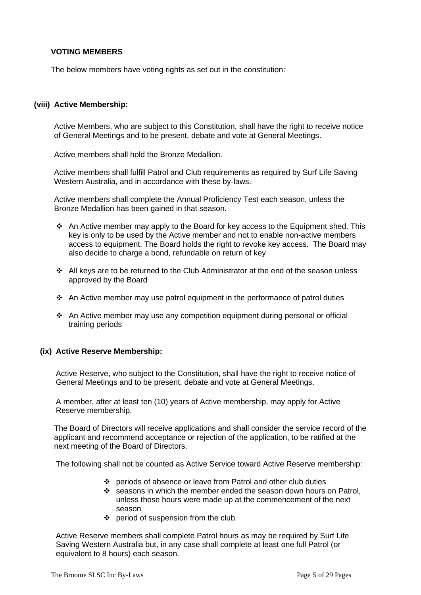#### **VOTING MEMBERS**

The below members have voting rights as set out in the constitution:

#### **(viii) Active Membership:**

Active Members, who are subject to this Constitution, shall have the right to receive notice of General Meetings and to be present, debate and vote at General Meetings.

Active members shall hold the Bronze Medallion.

Active members shall fulfill Patrol and Club requirements as required by Surf Life Saving Western Australia, and in accordance with these by-laws.

Active members shall complete the Annual Proficiency Test each season, unless the Bronze Medallion has been gained in that season.

- ❖ An Active member may apply to the Board for key access to the Equipment shed. This key is only to be used by the Active member and not to enable non-active members access to equipment. The Board holds the right to revoke key access. The Board may also decide to charge a bond, refundable on return of key
- ❖ All keys are to be returned to the Club Administrator at the end of the season unless approved by the Board
- ❖ An Active member may use patrol equipment in the performance of patrol duties
- ❖ An Active member may use any competition equipment during personal or official training periods

#### **(ix) Active Reserve Membership:**

Active Reserve, who subject to the Constitution, shall have the right to receive notice of General Meetings and to be present, debate and vote at General Meetings.

A member, after at least ten (10) years of Active membership, may apply for Active Reserve membership.

The Board of Directors will receive applications and shall consider the service record of the applicant and recommend acceptance or rejection of the application, to be ratified at the next meeting of the Board of Directors.

The following shall not be counted as Active Service toward Active Reserve membership:

- ❖ periods of absence or leave from Patrol and other club duties
- ❖ seasons in which the member ended the season down hours on Patrol, unless those hours were made up at the commencement of the next season
- ❖ period of suspension from the club.

Active Reserve members shall complete Patrol hours as may be required by Surf Life Saving Western Australia but, in any case shall complete at least one full Patrol (or equivalent to 8 hours) each season.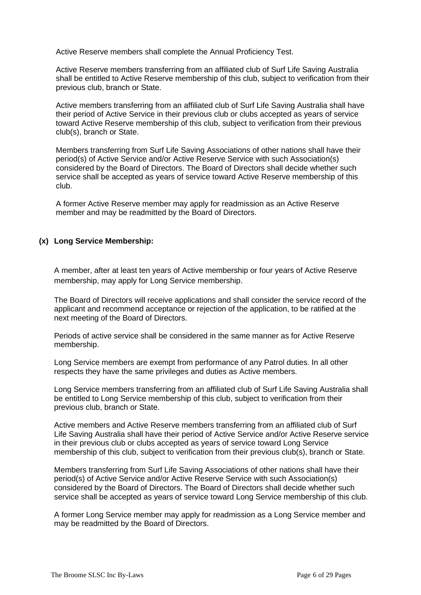Active Reserve members shall complete the Annual Proficiency Test.

Active Reserve members transferring from an affiliated club of Surf Life Saving Australia shall be entitled to Active Reserve membership of this club, subject to verification from their previous club, branch or State.

Active members transferring from an affiliated club of Surf Life Saving Australia shall have their period of Active Service in their previous club or clubs accepted as years of service toward Active Reserve membership of this club, subject to verification from their previous club(s), branch or State.

Members transferring from Surf Life Saving Associations of other nations shall have their period(s) of Active Service and/or Active Reserve Service with such Association(s) considered by the Board of Directors. The Board of Directors shall decide whether such service shall be accepted as years of service toward Active Reserve membership of this club.

A former Active Reserve member may apply for readmission as an Active Reserve member and may be readmitted by the Board of Directors.

#### **(x) Long Service Membership:**

A member, after at least ten years of Active membership or four years of Active Reserve membership, may apply for Long Service membership.

The Board of Directors will receive applications and shall consider the service record of the applicant and recommend acceptance or rejection of the application, to be ratified at the next meeting of the Board of Directors.

Periods of active service shall be considered in the same manner as for Active Reserve membership.

Long Service members are exempt from performance of any Patrol duties. In all other respects they have the same privileges and duties as Active members.

Long Service members transferring from an affiliated club of Surf Life Saving Australia shall be entitled to Long Service membership of this club, subject to verification from their previous club, branch or State.

Active members and Active Reserve members transferring from an affiliated club of Surf Life Saving Australia shall have their period of Active Service and/or Active Reserve service in their previous club or clubs accepted as years of service toward Long Service membership of this club, subject to verification from their previous club(s), branch or State.

Members transferring from Surf Life Saving Associations of other nations shall have their period(s) of Active Service and/or Active Reserve Service with such Association(s) considered by the Board of Directors. The Board of Directors shall decide whether such service shall be accepted as years of service toward Long Service membership of this club.

A former Long Service member may apply for readmission as a Long Service member and may be readmitted by the Board of Directors.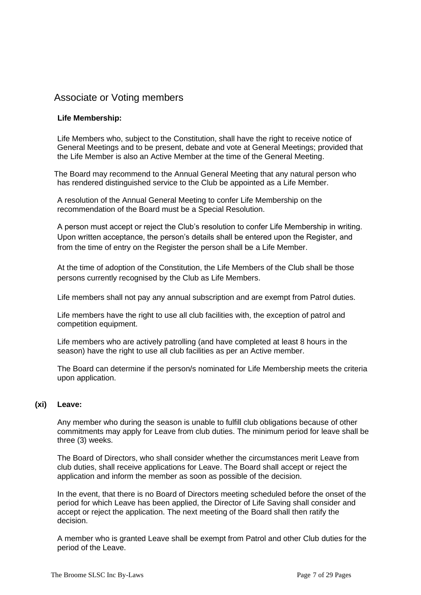## Associate or Voting members

#### **Life Membership:**

Life Members who, subject to the Constitution, shall have the right to receive notice of General Meetings and to be present, debate and vote at General Meetings; provided that the Life Member is also an Active Member at the time of the General Meeting.

The Board may recommend to the Annual General Meeting that any natural person who has rendered distinguished service to the Club be appointed as a Life Member.

A resolution of the Annual General Meeting to confer Life Membership on the recommendation of the Board must be a Special Resolution.

A person must accept or reject the Club's resolution to confer Life Membership in writing. Upon written acceptance, the person's details shall be entered upon the Register, and from the time of entry on the Register the person shall be a Life Member.

At the time of adoption of the Constitution, the Life Members of the Club shall be those persons currently recognised by the Club as Life Members.

Life members shall not pay any annual subscription and are exempt from Patrol duties.

Life members have the right to use all club facilities with, the exception of patrol and competition equipment.

Life members who are actively patrolling (and have completed at least 8 hours in the season) have the right to use all club facilities as per an Active member.

The Board can determine if the person/s nominated for Life Membership meets the criteria upon application.

## **(xi) Leave:**

Any member who during the season is unable to fulfill club obligations because of other commitments may apply for Leave from club duties. The minimum period for leave shall be three (3) weeks.

The Board of Directors, who shall consider whether the circumstances merit Leave from club duties, shall receive applications for Leave. The Board shall accept or reject the application and inform the member as soon as possible of the decision.

In the event, that there is no Board of Directors meeting scheduled before the onset of the period for which Leave has been applied, the Director of Life Saving shall consider and accept or reject the application. The next meeting of the Board shall then ratify the decision.

A member who is granted Leave shall be exempt from Patrol and other Club duties for the period of the Leave.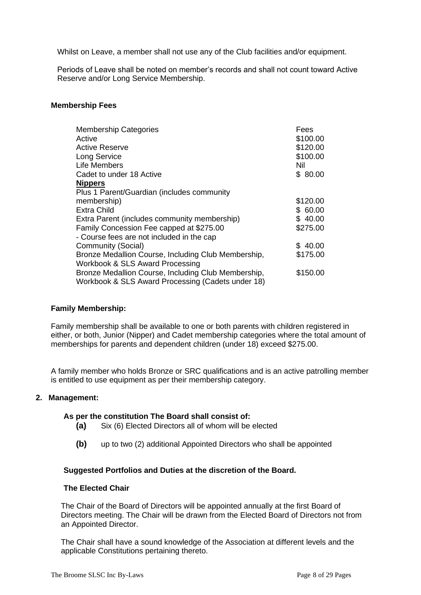Whilst on Leave, a member shall not use any of the Club facilities and/or equipment.

Periods of Leave shall be noted on member's records and shall not count toward Active Reserve and/or Long Service Membership.

#### **Membership Fees**

| <b>Membership Categories</b>                        | Fees     |
|-----------------------------------------------------|----------|
| Active                                              | \$100.00 |
| Active Reserve                                      | \$120.00 |
| <b>Long Service</b>                                 | \$100.00 |
| Life Members                                        | Nil      |
| Cadet to under 18 Active                            | \$80.00  |
| <b>Nippers</b>                                      |          |
| Plus 1 Parent/Guardian (includes community          |          |
| membership)                                         | \$120.00 |
| <b>Extra Child</b>                                  | \$60.00  |
| Extra Parent (includes community membership)        | \$40.00  |
| Family Concession Fee capped at \$275.00            | \$275.00 |
| - Course fees are not included in the cap           |          |
| Community (Social)                                  | \$40.00  |
| Bronze Medallion Course, Including Club Membership, | \$175.00 |
| Workbook & SLS Award Processing                     |          |
| Bronze Medallion Course, Including Club Membership, | \$150.00 |
| Workbook & SLS Award Processing (Cadets under 18)   |          |

#### **Family Membership:**

Family membership shall be available to one or both parents with children registered in either, or both, Junior (Nipper) and Cadet membership categories where the total amount of memberships for parents and dependent children (under 18) exceed \$275.00.

A family member who holds Bronze or SRC qualifications and is an active patrolling member is entitled to use equipment as per their membership category.

#### **2. Management:**

#### **As per the constitution The Board shall consist of:**

- **(a)** Six (6) Elected Directors all of whom will be elected
- **(b)** up to two (2) additional Appointed Directors who shall be appointed

#### **Suggested Portfolios and Duties at the discretion of the Board.**

#### **The Elected Chair**

The Chair of the Board of Directors will be appointed annually at the first Board of Directors meeting. The Chair will be drawn from the Elected Board of Directors not from an Appointed Director.

The Chair shall have a sound knowledge of the Association at different levels and the applicable Constitutions pertaining thereto.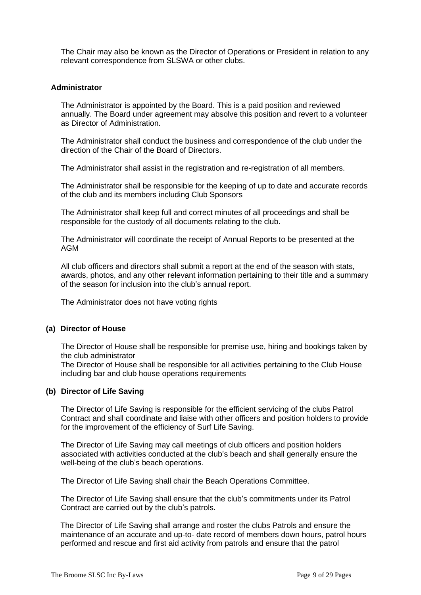The Chair may also be known as the Director of Operations or President in relation to any relevant correspondence from SLSWA or other clubs.

#### **Administrator**

The Administrator is appointed by the Board. This is a paid position and reviewed annually. The Board under agreement may absolve this position and revert to a volunteer as Director of Administration.

The Administrator shall conduct the business and correspondence of the club under the direction of the Chair of the Board of Directors.

The Administrator shall assist in the registration and re-registration of all members.

The Administrator shall be responsible for the keeping of up to date and accurate records of the club and its members including Club Sponsors

The Administrator shall keep full and correct minutes of all proceedings and shall be responsible for the custody of all documents relating to the club.

The Administrator will coordinate the receipt of Annual Reports to be presented at the AGM

All club officers and directors shall submit a report at the end of the season with stats, awards, photos, and any other relevant information pertaining to their title and a summary of the season for inclusion into the club's annual report.

The Administrator does not have voting rights

#### **(a) Director of House**

The Director of House shall be responsible for premise use, hiring and bookings taken by the club administrator

The Director of House shall be responsible for all activities pertaining to the Club House including bar and club house operations requirements

#### **(b) Director of Life Saving**

The Director of Life Saving is responsible for the efficient servicing of the clubs Patrol Contract and shall coordinate and liaise with other officers and position holders to provide for the improvement of the efficiency of Surf Life Saving.

The Director of Life Saving may call meetings of club officers and position holders associated with activities conducted at the club's beach and shall generally ensure the well-being of the club's beach operations.

The Director of Life Saving shall chair the Beach Operations Committee.

The Director of Life Saving shall ensure that the club's commitments under its Patrol Contract are carried out by the club's patrols.

The Director of Life Saving shall arrange and roster the clubs Patrols and ensure the maintenance of an accurate and up-to- date record of members down hours, patrol hours performed and rescue and first aid activity from patrols and ensure that the patrol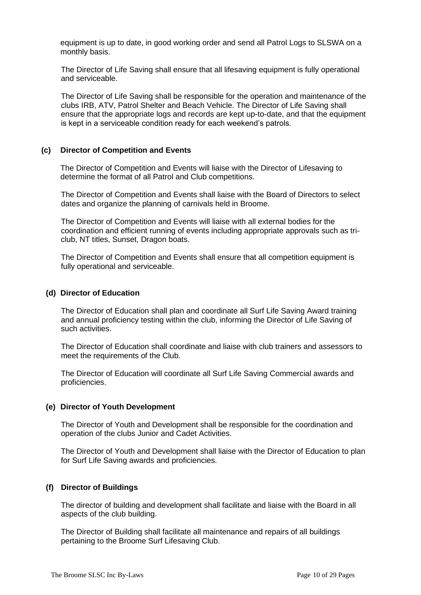equipment is up to date, in good working order and send all Patrol Logs to SLSWA on a monthly basis.

The Director of Life Saving shall ensure that all lifesaving equipment is fully operational and serviceable.

The Director of Life Saving shall be responsible for the operation and maintenance of the clubs IRB, ATV, Patrol Shelter and Beach Vehicle. The Director of Life Saving shall ensure that the appropriate logs and records are kept up-to-date, and that the equipment is kept in a serviceable condition ready for each weekend's patrols.

#### **(c) Director of Competition and Events**

The Director of Competition and Events will liaise with the Director of Lifesaving to determine the format of all Patrol and Club competitions.

The Director of Competition and Events shall liaise with the Board of Directors to select dates and organize the planning of carnivals held in Broome.

The Director of Competition and Events will liaise with all external bodies for the coordination and efficient running of events including appropriate approvals such as triclub, NT titles, Sunset, Dragon boats.

The Director of Competition and Events shall ensure that all competition equipment is fully operational and serviceable.

#### **(d) Director of Education**

The Director of Education shall plan and coordinate all Surf Life Saving Award training and annual proficiency testing within the club, informing the Director of Life Saving of such activities.

The Director of Education shall coordinate and liaise with club trainers and assessors to meet the requirements of the Club.

The Director of Education will coordinate all Surf Life Saving Commercial awards and proficiencies.

#### **(e) Director of Youth Development**

The Director of Youth and Development shall be responsible for the coordination and operation of the clubs Junior and Cadet Activities.

The Director of Youth and Development shall liaise with the Director of Education to plan for Surf Life Saving awards and proficiencies.

#### **(f) Director of Buildings**

The director of building and development shall facilitate and liaise with the Board in all aspects of the club building.

The Director of Building shall facilitate all maintenance and repairs of all buildings pertaining to the Broome Surf Lifesaving Club.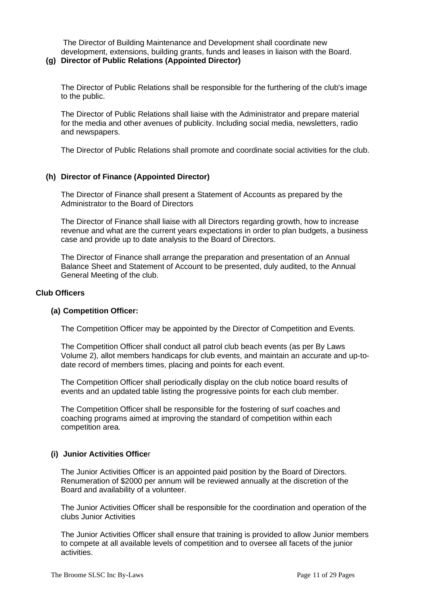The Director of Building Maintenance and Development shall coordinate new development, extensions, building grants, funds and leases in liaison with the Board.

#### **(g) Director of Public Relations (Appointed Director)**

The Director of Public Relations shall be responsible for the furthering of the club's image to the public.

The Director of Public Relations shall liaise with the Administrator and prepare material for the media and other avenues of publicity. Including social media, newsletters, radio and newspapers.

The Director of Public Relations shall promote and coordinate social activities for the club.

### **(h) Director of Finance (Appointed Director)**

The Director of Finance shall present a Statement of Accounts as prepared by the Administrator to the Board of Directors

The Director of Finance shall liaise with all Directors regarding growth, how to increase revenue and what are the current years expectations in order to plan budgets, a business case and provide up to date analysis to the Board of Directors.

The Director of Finance shall arrange the preparation and presentation of an Annual Balance Sheet and Statement of Account to be presented, duly audited, to the Annual General Meeting of the club.

#### **Club Officers**

#### **(a) Competition Officer:**

The Competition Officer may be appointed by the Director of Competition and Events.

The Competition Officer shall conduct all patrol club beach events (as per By Laws Volume 2), allot members handicaps for club events, and maintain an accurate and up-todate record of members times, placing and points for each event.

The Competition Officer shall periodically display on the club notice board results of events and an updated table listing the progressive points for each club member.

The Competition Officer shall be responsible for the fostering of surf coaches and coaching programs aimed at improving the standard of competition within each competition area.

#### **(i) Junior Activities Office**r

The Junior Activities Officer is an appointed paid position by the Board of Directors. Renumeration of \$2000 per annum will be reviewed annually at the discretion of the Board and availability of a volunteer.

The Junior Activities Officer shall be responsible for the coordination and operation of the clubs Junior Activities

The Junior Activities Officer shall ensure that training is provided to allow Junior members to compete at all available levels of competition and to oversee all facets of the junior activities.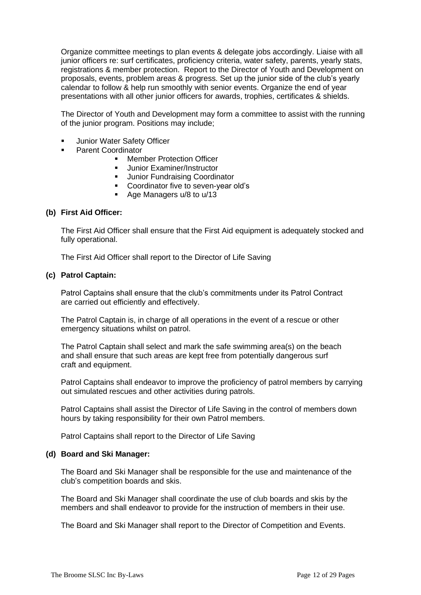Organize committee meetings to plan events & delegate jobs accordingly. Liaise with all junior officers re: surf certificates, proficiency criteria, water safety, parents, yearly stats, registrations & member protection. Report to the Director of Youth and Development on proposals, events, problem areas & progress. Set up the junior side of the club's yearly calendar to follow & help run smoothly with senior events. Organize the end of year presentations with all other junior officers for awards, trophies, certificates & shields.

The Director of Youth and Development may form a committee to assist with the running of the junior program. Positions may include;

- **Junior Water Safety Officer**
- Parent Coordinator
	- Member Protection Officer<br>■ Lunior Examiner/Instructor
	- Junior Examiner/Instructor
	- **■** Junior Fundraising Coordinator
	- Coordinator five to seven-year old's
	- Age Managers u/8 to u/13

#### **(b) First Aid Officer:**

The First Aid Officer shall ensure that the First Aid equipment is adequately stocked and fully operational.

The First Aid Officer shall report to the Director of Life Saving

#### **(c) Patrol Captain:**

Patrol Captains shall ensure that the club's commitments under its Patrol Contract are carried out efficiently and effectively.

The Patrol Captain is, in charge of all operations in the event of a rescue or other emergency situations whilst on patrol.

The Patrol Captain shall select and mark the safe swimming area(s) on the beach and shall ensure that such areas are kept free from potentially dangerous surf craft and equipment.

Patrol Captains shall endeavor to improve the proficiency of patrol members by carrying out simulated rescues and other activities during patrols.

Patrol Captains shall assist the Director of Life Saving in the control of members down hours by taking responsibility for their own Patrol members.

Patrol Captains shall report to the Director of Life Saving

#### **(d) Board and Ski Manager:**

The Board and Ski Manager shall be responsible for the use and maintenance of the club's competition boards and skis.

The Board and Ski Manager shall coordinate the use of club boards and skis by the members and shall endeavor to provide for the instruction of members in their use.

The Board and Ski Manager shall report to the Director of Competition and Events.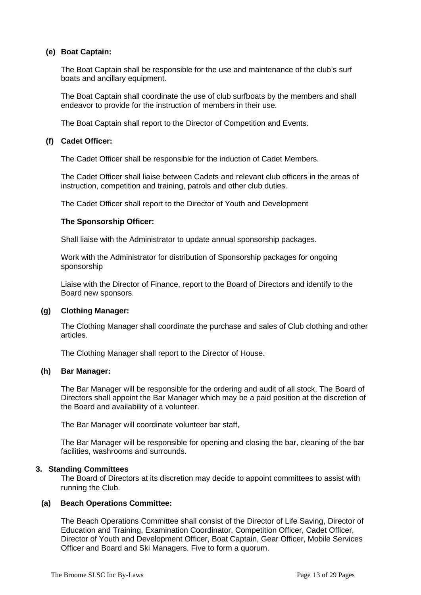#### **(e) Boat Captain:**

The Boat Captain shall be responsible for the use and maintenance of the club's surf boats and ancillary equipment.

The Boat Captain shall coordinate the use of club surfboats by the members and shall endeavor to provide for the instruction of members in their use.

The Boat Captain shall report to the Director of Competition and Events.

#### **(f) Cadet Officer:**

The Cadet Officer shall be responsible for the induction of Cadet Members.

The Cadet Officer shall liaise between Cadets and relevant club officers in the areas of instruction, competition and training, patrols and other club duties.

The Cadet Officer shall report to the Director of Youth and Development

#### **The Sponsorship Officer:**

Shall liaise with the Administrator to update annual sponsorship packages.

Work with the Administrator for distribution of Sponsorship packages for ongoing sponsorship

Liaise with the Director of Finance, report to the Board of Directors and identify to the Board new sponsors.

#### **(g) Clothing Manager:**

The Clothing Manager shall coordinate the purchase and sales of Club clothing and other articles.

The Clothing Manager shall report to the Director of House.

#### **(h) Bar Manager:**

The Bar Manager will be responsible for the ordering and audit of all stock. The Board of Directors shall appoint the Bar Manager which may be a paid position at the discretion of the Board and availability of a volunteer.

The Bar Manager will coordinate volunteer bar staff,

The Bar Manager will be responsible for opening and closing the bar, cleaning of the bar facilities, washrooms and surrounds.

#### **3. Standing Committees**

The Board of Directors at its discretion may decide to appoint committees to assist with running the Club.

#### **(a) Beach Operations Committee:**

The Beach Operations Committee shall consist of the Director of Life Saving, Director of Education and Training, Examination Coordinator, Competition Officer, Cadet Officer, Director of Youth and Development Officer, Boat Captain, Gear Officer, Mobile Services Officer and Board and Ski Managers. Five to form a quorum.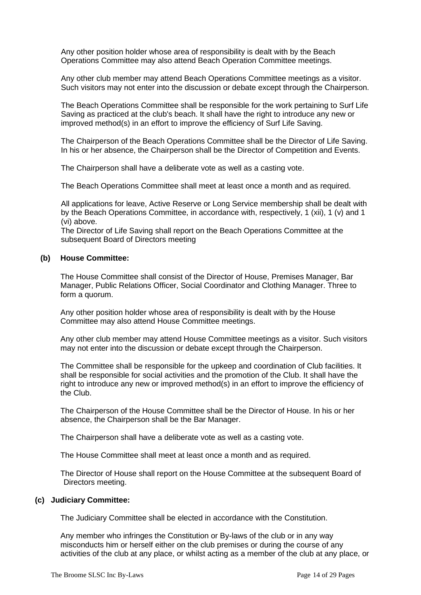Any other position holder whose area of responsibility is dealt with by the Beach Operations Committee may also attend Beach Operation Committee meetings.

Any other club member may attend Beach Operations Committee meetings as a visitor. Such visitors may not enter into the discussion or debate except through the Chairperson.

The Beach Operations Committee shall be responsible for the work pertaining to Surf Life Saving as practiced at the club's beach. It shall have the right to introduce any new or improved method(s) in an effort to improve the efficiency of Surf Life Saving.

The Chairperson of the Beach Operations Committee shall be the Director of Life Saving. In his or her absence, the Chairperson shall be the Director of Competition and Events.

The Chairperson shall have a deliberate vote as well as a casting vote.

The Beach Operations Committee shall meet at least once a month and as required.

All applications for leave, Active Reserve or Long Service membership shall be dealt with by the Beach Operations Committee, in accordance with, respectively, 1 (xii), 1 (v) and 1 (vi) above.

The Director of Life Saving shall report on the Beach Operations Committee at the subsequent Board of Directors meeting

#### **(b) House Committee:**

The House Committee shall consist of the Director of House, Premises Manager, Bar Manager, Public Relations Officer, Social Coordinator and Clothing Manager. Three to form a quorum.

Any other position holder whose area of responsibility is dealt with by the House Committee may also attend House Committee meetings.

Any other club member may attend House Committee meetings as a visitor. Such visitors may not enter into the discussion or debate except through the Chairperson.

The Committee shall be responsible for the upkeep and coordination of Club facilities. It shall be responsible for social activities and the promotion of the Club. It shall have the right to introduce any new or improved method(s) in an effort to improve the efficiency of the Club.

The Chairperson of the House Committee shall be the Director of House. In his or her absence, the Chairperson shall be the Bar Manager.

The Chairperson shall have a deliberate vote as well as a casting vote.

The House Committee shall meet at least once a month and as required.

The Director of House shall report on the House Committee at the subsequent Board of Directors meeting.

#### **(c) Judiciary Committee:**

The Judiciary Committee shall be elected in accordance with the Constitution.

Any member who infringes the Constitution or By-laws of the club or in any way misconducts him or herself either on the club premises or during the course of any activities of the club at any place, or whilst acting as a member of the club at any place, or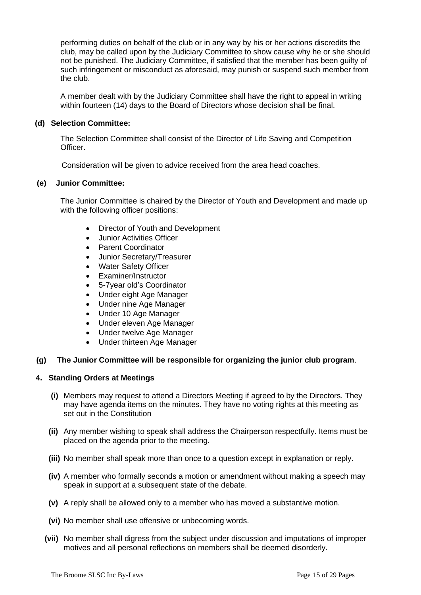performing duties on behalf of the club or in any way by his or her actions discredits the club, may be called upon by the Judiciary Committee to show cause why he or she should not be punished. The Judiciary Committee, if satisfied that the member has been guilty of such infringement or misconduct as aforesaid, may punish or suspend such member from the club.

A member dealt with by the Judiciary Committee shall have the right to appeal in writing within fourteen (14) days to the Board of Directors whose decision shall be final.

#### **(d) Selection Committee:**

The Selection Committee shall consist of the Director of Life Saving and Competition **Officer** 

Consideration will be given to advice received from the area head coaches.

### **(e) Junior Committee:**

The Junior Committee is chaired by the Director of Youth and Development and made up with the following officer positions:

- Director of Youth and Development
- Junior Activities Officer
- Parent Coordinator
- Junior Secretary/Treasurer
- Water Safety Officer
- Examiner/Instructor
- 5-7year old's Coordinator
- Under eight Age Manager
- Under nine Age Manager
- Under 10 Age Manager
- Under eleven Age Manager
- Under twelve Age Manager
- Under thirteen Age Manager

#### **(g) The Junior Committee will be responsible for organizing the junior club program**.

#### **4. Standing Orders at Meetings**

- **(i)** Members may request to attend a Directors Meeting if agreed to by the Directors. They may have agenda items on the minutes. They have no voting rights at this meeting as set out in the Constitution
- **(ii)** Any member wishing to speak shall address the Chairperson respectfully. Items must be placed on the agenda prior to the meeting.
- **(iii)** No member shall speak more than once to a question except in explanation or reply.
- **(iv)** A member who formally seconds a motion or amendment without making a speech may speak in support at a subsequent state of the debate.
- **(v)** A reply shall be allowed only to a member who has moved a substantive motion.
- **(vi)** No member shall use offensive or unbecoming words.
- **(vii)** No member shall digress from the subject under discussion and imputations of improper motives and all personal reflections on members shall be deemed disorderly.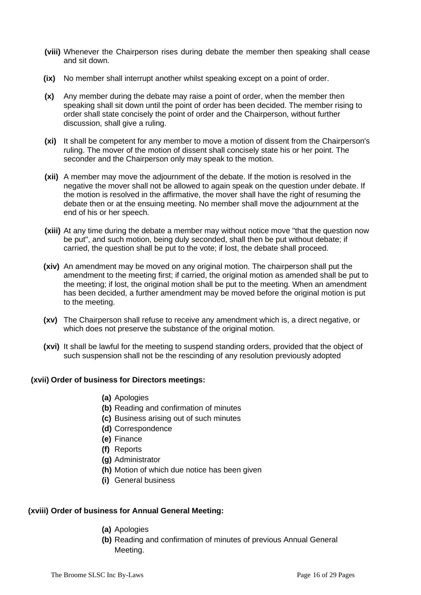- **(viii)** Whenever the Chairperson rises during debate the member then speaking shall cease and sit down.
- **(ix)** No member shall interrupt another whilst speaking except on a point of order.
- **(x)** Any member during the debate may raise a point of order, when the member then speaking shall sit down until the point of order has been decided. The member rising to order shall state concisely the point of order and the Chairperson, without further discussion, shall give a ruling.
- **(xi)** It shall be competent for any member to move a motion of dissent from the Chairperson's ruling. The mover of the motion of dissent shall concisely state his or her point. The seconder and the Chairperson only may speak to the motion.
- **(xii)** A member may move the adjournment of the debate. If the motion is resolved in the negative the mover shall not be allowed to again speak on the question under debate. If the motion is resolved in the affirmative, the mover shall have the right of resuming the debate then or at the ensuing meeting. No member shall move the adjournment at the end of his or her speech.
- **(xiii)** At any time during the debate a member may without notice move "that the question now be put", and such motion, being duly seconded, shall then be put without debate; if carried, the question shall be put to the vote; if lost, the debate shall proceed.
- **(xiv)** An amendment may be moved on any original motion. The chairperson shall put the amendment to the meeting first; if carried, the original motion as amended shall be put to the meeting; if lost, the original motion shall be put to the meeting. When an amendment has been decided, a further amendment may be moved before the original motion is put to the meeting.
- **(xv)** The Chairperson shall refuse to receive any amendment which is, a direct negative, or which does not preserve the substance of the original motion.
- **(xvi)** It shall be lawful for the meeting to suspend standing orders, provided that the object of such suspension shall not be the rescinding of any resolution previously adopted

#### **(xvii) Order of business for Directors meetings:**

- **(a)** Apologies
- **(b)** Reading and confirmation of minutes
- **(c)** Business arising out of such minutes
- **(d)** Correspondence
- **(e)** Finance
- **(f)** Reports
- **(g)** Administrator
- **(h)** Motion of which due notice has been given
- **(i)** General business

#### **(xviii) Order of business for Annual General Meeting:**

- **(a)** Apologies
- **(b)** Reading and confirmation of minutes of previous Annual General Meeting.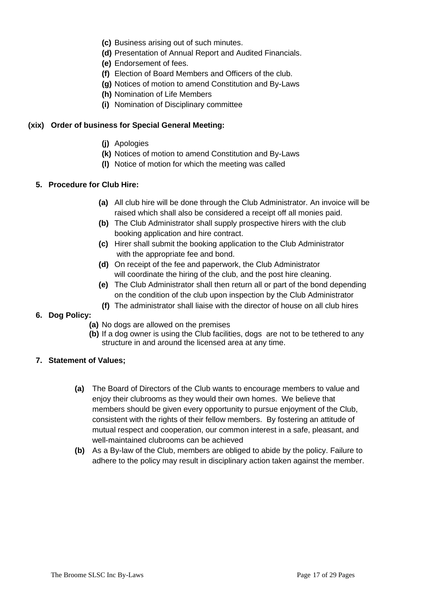- **(c)** Business arising out of such minutes.
- **(d)** Presentation of Annual Report and Audited Financials.
- **(e)** Endorsement of fees.
- **(f)** Election of Board Members and Officers of the club.
- **(g)** Notices of motion to amend Constitution and By-Laws
- **(h)** Nomination of Life Members
- **(i)** Nomination of Disciplinary committee

#### **(xix) Order of business for Special General Meeting:**

- **(j)** Apologies
- **(k)** Notices of motion to amend Constitution and By-Laws
- **(l)** Notice of motion for which the meeting was called

### **5. Procedure for Club Hire:**

- **(a)** All club hire will be done through the Club Administrator. An invoice will be raised which shall also be considered a receipt off all monies paid.
- **(b)** The Club Administrator shall supply prospective hirers with the club booking application and hire contract.
- **(c)** Hirer shall submit the booking application to the Club Administrator with the appropriate fee and bond.
- **(d)** On receipt of the fee and paperwork, the Club Administrator will coordinate the hiring of the club, and the post hire cleaning.
- **(e)** The Club Administrator shall then return all or part of the bond depending on the condition of the club upon inspection by the Club Administrator
- **(f)** The administrator shall liaise with the director of house on all club hires
- **6. Dog Policy:** 
	- **(a)** No dogs are allowed on the premises
	- **(b)** If a dog owner is using the Club facilities, dogs are not to be tethered to any structure in and around the licensed area at any time.
- **7. Statement of Values;**
	- **(a)** The Board of Directors of the Club wants to encourage members to value and enjoy their clubrooms as they would their own homes. We believe that members should be given every opportunity to pursue enjoyment of the Club, consistent with the rights of their fellow members. By fostering an attitude of mutual respect and cooperation, our common interest in a safe, pleasant, and well-maintained clubrooms can be achieved
	- **(b)** As a By-law of the Club, members are obliged to abide by the policy. Failure to adhere to the policy may result in disciplinary action taken against the member.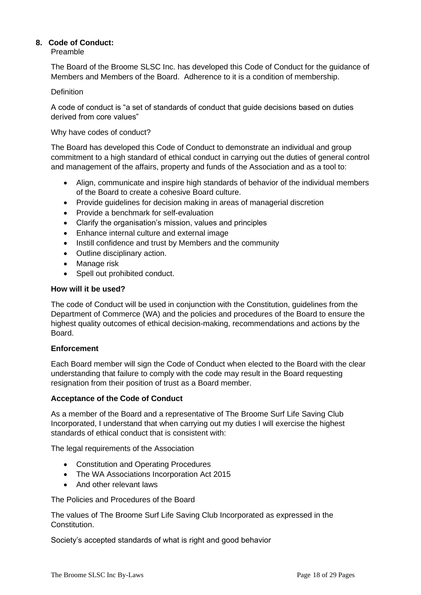### **8. Code of Conduct:**

Preamble

The Board of the Broome SLSC Inc. has developed this Code of Conduct for the guidance of Members and Members of the Board. Adherence to it is a condition of membership.

#### Definition

A code of conduct is "a set of standards of conduct that guide decisions based on duties derived from core values"

Why have codes of conduct?

The Board has developed this Code of Conduct to demonstrate an individual and group commitment to a high standard of ethical conduct in carrying out the duties of general control and management of the affairs, property and funds of the Association and as a tool to:

- Align, communicate and inspire high standards of behavior of the individual members of the Board to create a cohesive Board culture.
- Provide guidelines for decision making in areas of managerial discretion
- Provide a benchmark for self-evaluation
- Clarify the organisation's mission, values and principles
- Enhance internal culture and external image
- Instill confidence and trust by Members and the community
- Outline disciplinary action.
- Manage risk
- Spell out prohibited conduct.

#### **How will it be used?**

The code of Conduct will be used in conjunction with the Constitution, guidelines from the Department of Commerce (WA) and the policies and procedures of the Board to ensure the highest quality outcomes of ethical decision-making, recommendations and actions by the Board.

#### **Enforcement**

Each Board member will sign the Code of Conduct when elected to the Board with the clear understanding that failure to comply with the code may result in the Board requesting resignation from their position of trust as a Board member.

#### **Acceptance of the Code of Conduct**

As a member of the Board and a representative of The Broome Surf Life Saving Club Incorporated, I understand that when carrying out my duties I will exercise the highest standards of ethical conduct that is consistent with:

The legal requirements of the Association

- Constitution and Operating Procedures
- The WA Associations Incorporation Act 2015
- And other relevant laws

The Policies and Procedures of the Board

The values of The Broome Surf Life Saving Club Incorporated as expressed in the Constitution.

Society's accepted standards of what is right and good behavior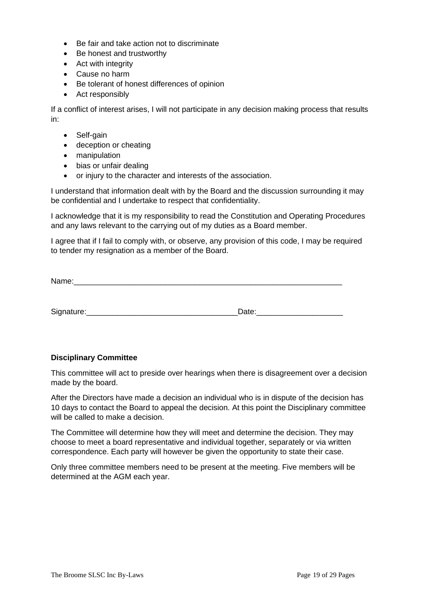- Be fair and take action not to discriminate
- Be honest and trustworthy
- Act with integrity
- Cause no harm
- Be tolerant of honest differences of opinion
- Act responsibly

If a conflict of interest arises, I will not participate in any decision making process that results in:

- Self-gain
- deception or cheating
- manipulation
- bias or unfair dealing
- or injury to the character and interests of the association.

I understand that information dealt with by the Board and the discussion surrounding it may be confidential and I undertake to respect that confidentiality.

I acknowledge that it is my responsibility to read the Constitution and Operating Procedures and any laws relevant to the carrying out of my duties as a Board member.

I agree that if I fail to comply with, or observe, any provision of this code, I may be required to tender my resignation as a member of the Board.

| Name: |  |  |  |
|-------|--|--|--|
|       |  |  |  |
|       |  |  |  |

Signature:\_\_\_\_\_\_\_\_\_\_\_\_\_\_\_\_\_\_\_\_\_\_\_\_\_\_\_\_\_\_\_\_\_\_\_Date:\_\_\_\_\_\_\_\_\_\_\_\_\_\_\_\_\_\_\_\_

#### **Disciplinary Committee**

This committee will act to preside over hearings when there is disagreement over a decision made by the board.

After the Directors have made a decision an individual who is in dispute of the decision has 10 days to contact the Board to appeal the decision. At this point the Disciplinary committee will be called to make a decision.

The Committee will determine how they will meet and determine the decision. They may choose to meet a board representative and individual together, separately or via written correspondence. Each party will however be given the opportunity to state their case.

Only three committee members need to be present at the meeting. Five members will be determined at the AGM each year.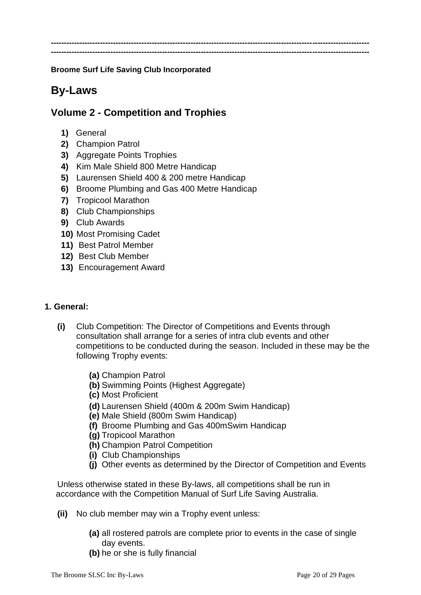**--------------------------------------------------------------------------------------------------------------------------- ---------------------------------------------------------------------------------------------------------------------------**

**Broome Surf Life Saving Club Incorporated**

## **By-Laws**

## **Volume 2 - Competition and Trophies**

- **1)** General
- **2)** Champion Patrol
- **3)** Aggregate Points Trophies
- **4)** Kim Male Shield 800 Metre Handicap
- **5)** Laurensen Shield 400 & 200 metre Handicap
- **6)** Broome Plumbing and Gas 400 Metre Handicap
- **7)** Tropicool Marathon
- **8)** Club Championships
- **9)** Club Awards
- **10)** Most Promising Cadet
- **11)** Best Patrol Member
- **12)** Best Club Member
- **13)** Encouragement Award

## **1. General:**

- **(i)** Club Competition: The Director of Competitions and Events through consultation shall arrange for a series of intra club events and other competitions to be conducted during the season. Included in these may be the following Trophy events:
	- **(a)** Champion Patrol
	- **(b)** Swimming Points (Highest Aggregate)
	- **(c)** Most Proficient
	- **(d)** Laurensen Shield (400m & 200m Swim Handicap)
	- **(e)** Male Shield (800m Swim Handicap)
	- **(f)** Broome Plumbing and Gas 400mSwim Handicap
	- **(g)** Tropicool Marathon
	- **(h)** Champion Patrol Competition
	- **(i)** Club Championships
	- **(j)** Other events as determined by the Director of Competition and Events

Unless otherwise stated in these By-laws, all competitions shall be run in accordance with the Competition Manual of Surf Life Saving Australia.

- **(ii)** No club member may win a Trophy event unless:
	- **(a)** all rostered patrols are complete prior to events in the case of single day events.
	- **(b)** he or she is fully financial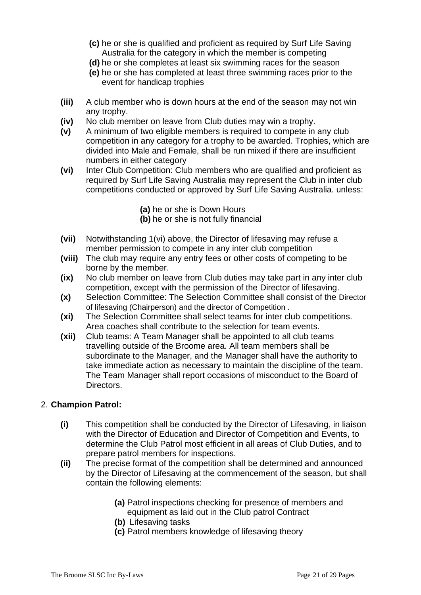- **(c)** he or she is qualified and proficient as required by Surf Life Saving Australia for the category in which the member is competing
- **(d)** he or she completes at least six swimming races for the season
- **(e)** he or she has completed at least three swimming races prior to the event for handicap trophies
- **(iii)** A club member who is down hours at the end of the season may not win any trophy.
- **(iv)** No club member on leave from Club duties may win a trophy.
- **(v)** A minimum of two eligible members is required to compete in any club competition in any category for a trophy to be awarded. Trophies, which are divided into Male and Female, shall be run mixed if there are insufficient numbers in either category
- **(vi)** Inter Club Competition: Club members who are qualified and proficient as required by Surf Life Saving Australia may represent the Club in inter club competitions conducted or approved by Surf Life Saving Australia. unless:
	- **(a)** he or she is Down Hours
	- **(b)** he or she is not fully financial
- **(vii)** Notwithstanding 1(vi) above, the Director of lifesaving may refuse a member permission to compete in any inter club competition
- **(viii)** The club may require any entry fees or other costs of competing to be borne by the member.
- **(ix)** No club member on leave from Club duties may take part in any inter club competition, except with the permission of the Director of lifesaving.
- **(x)** Selection Committee: The Selection Committee shall consist of the Director of lifesaving (Chairperson) and the director of Competition .
- **(xi)** The Selection Committee shall select teams for inter club competitions. Area coaches shall contribute to the selection for team events.
- **(xii)** Club teams: A Team Manager shall be appointed to all club teams travelling outside of the Broome area. All team members shall be subordinate to the Manager, and the Manager shall have the authority to take immediate action as necessary to maintain the discipline of the team. The Team Manager shall report occasions of misconduct to the Board of Directors.

## 2. **Champion Patrol:**

- **(i)** This competition shall be conducted by the Director of Lifesaving, in liaison with the Director of Education and Director of Competition and Events, to determine the Club Patrol most efficient in all areas of Club Duties, and to prepare patrol members for inspections.
- **(ii)** The precise format of the competition shall be determined and announced by the Director of Lifesaving at the commencement of the season, but shall contain the following elements:
	- **(a)** Patrol inspections checking for presence of members and equipment as laid out in the Club patrol Contract
	- **(b)** Lifesaving tasks
	- **(c)** Patrol members knowledge of lifesaving theory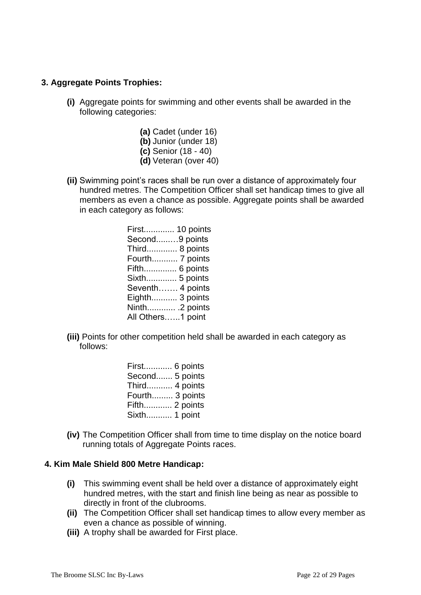## **3. Aggregate Points Trophies:**

- **(i)** Aggregate points for swimming and other events shall be awarded in the following categories:
	- **(a)** Cadet (under 16) **(b)** Junior (under 18) **(c)** Senior (18 - 40) **(d)** Veteran (over 40)
- **(ii)** Swimming point's races shall be run over a distance of approximately four hundred metres. The Competition Officer shall set handicap times to give all members as even a chance as possible. Aggregate points shall be awarded in each category as follows:
	- First............. 10 points Second......…9 points Third............. 8 points Fourth........... 7 points Fifth.............. 6 points Sixth............. 5 points Seventh……. 4 points Eighth........... 3 points Ninth............ .2 points All Others.…..1 point
- **(iii)** Points for other competition held shall be awarded in each category as follows:
	- First............ 6 points Second....... 5 points Third........... 4 points Fourth......... 3 points Fifth............ 2 points Sixth........... 1 point
- **(iv)** The Competition Officer shall from time to time display on the notice board running totals of Aggregate Points races.

#### **4. Kim Male Shield 800 Metre Handicap:**

- **(i)** This swimming event shall be held over a distance of approximately eight hundred metres, with the start and finish line being as near as possible to directly in front of the clubrooms.
- **(ii)** The Competition Officer shall set handicap times to allow every member as even a chance as possible of winning.
- **(iii)** A trophy shall be awarded for First place.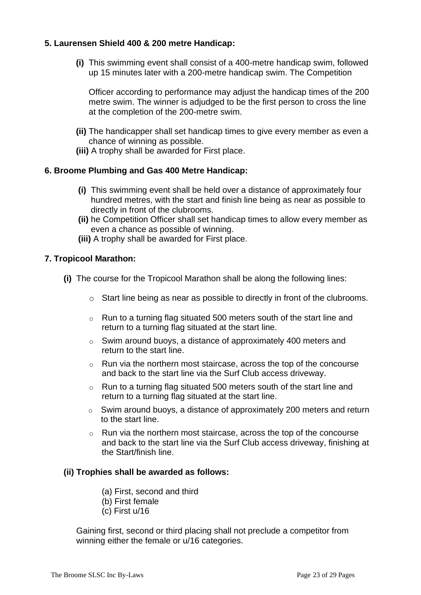## **5. Laurensen Shield 400 & 200 metre Handicap:**

**(i)** This swimming event shall consist of a 400-metre handicap swim, followed up 15 minutes later with a 200-metre handicap swim. The Competition

Officer according to performance may adjust the handicap times of the 200 metre swim. The winner is adjudged to be the first person to cross the line at the completion of the 200-metre swim.

- **(ii)** The handicapper shall set handicap times to give every member as even a chance of winning as possible.
- **(iii)** A trophy shall be awarded for First place.

## **6. Broome Plumbing and Gas 400 Metre Handicap:**

- **(i)** This swimming event shall be held over a distance of approximately four hundred metres, with the start and finish line being as near as possible to directly in front of the clubrooms.
- **(ii)** he Competition Officer shall set handicap times to allow every member as even a chance as possible of winning.
- **(iii)** A trophy shall be awarded for First place.

## **7. Tropicool Marathon:**

- **(i)** The course for the Tropicool Marathon shall be along the following lines:
	- o Start line being as near as possible to directly in front of the clubrooms.
	- o Run to a turning flag situated 500 meters south of the start line and return to a turning flag situated at the start line.
	- o Swim around buoys, a distance of approximately 400 meters and return to the start line.
	- o Run via the northern most staircase, across the top of the concourse and back to the start line via the Surf Club access driveway.
	- $\circ$  Run to a turning flag situated 500 meters south of the start line and return to a turning flag situated at the start line.
	- $\circ$  Swim around buoys, a distance of approximately 200 meters and return to the start line.
	- o Run via the northern most staircase, across the top of the concourse and back to the start line via the Surf Club access driveway, finishing at the Start/finish line.

## **(ii) Trophies shall be awarded as follows:**

- (a) First, second and third
- (b) First female
- (c) First u/16

Gaining first, second or third placing shall not preclude a competitor from winning either the female or u/16 categories.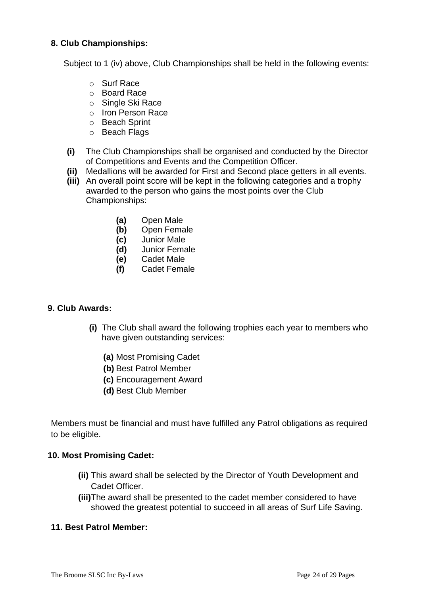## **8. Club Championships:**

Subject to 1 (iv) above, Club Championships shall be held in the following events:

- o Surf Race
- o Board Race
- o Single Ski Race
- o Iron Person Race
- o Beach Sprint
- o Beach Flags
- **(i)** The Club Championships shall be organised and conducted by the Director of Competitions and Events and the Competition Officer.
- **(ii)** Medallions will be awarded for First and Second place getters in all events.
- **(iii)** An overall point score will be kept in the following categories and a trophy awarded to the person who gains the most points over the Club Championships:
	- **(a)** Open Male
	- **(b)** Open Female
	- **(c)** Junior Male
	- **(d)** Junior Female
	- **(e)** Cadet Male
	- **(f)** Cadet Female

## **9. Club Awards:**

- **(i)** The Club shall award the following trophies each year to members who have given outstanding services:
	- **(a)** Most Promising Cadet
	- **(b)** Best Patrol Member
	- **(c)** Encouragement Award
	- **(d)** Best Club Member

Members must be financial and must have fulfilled any Patrol obligations as required to be eligible.

## **10. Most Promising Cadet:**

- **(ii)** This award shall be selected by the Director of Youth Development and Cadet Officer.
- **(iii)**The award shall be presented to the cadet member considered to have showed the greatest potential to succeed in all areas of Surf Life Saving.

## **11. Best Patrol Member:**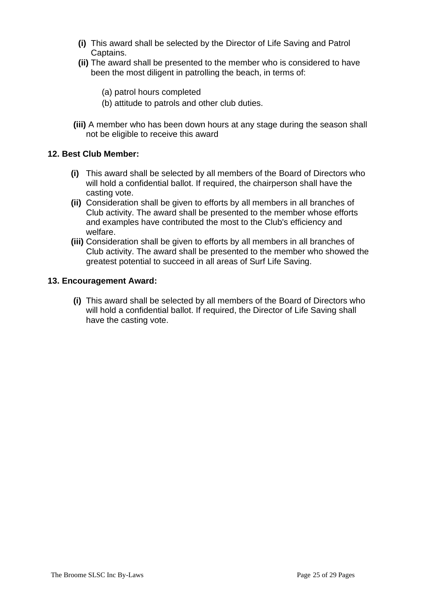- **(i)** This award shall be selected by the Director of Life Saving and Patrol Captains.
- **(ii)** The award shall be presented to the member who is considered to have been the most diligent in patrolling the beach, in terms of:
	- (a) patrol hours completed
	- (b) attitude to patrols and other club duties.
- **(iii)** A member who has been down hours at any stage during the season shall not be eligible to receive this award

### **12. Best Club Member:**

- **(i)** This award shall be selected by all members of the Board of Directors who will hold a confidential ballot. If required, the chairperson shall have the casting vote.
- **(ii)** Consideration shall be given to efforts by all members in all branches of Club activity. The award shall be presented to the member whose efforts and examples have contributed the most to the Club's efficiency and welfare.
- **(iii)** Consideration shall be given to efforts by all members in all branches of Club activity. The award shall be presented to the member who showed the greatest potential to succeed in all areas of Surf Life Saving.

### **13. Encouragement Award:**

**(i)** This award shall be selected by all members of the Board of Directors who will hold a confidential ballot. If required, the Director of Life Saving shall have the casting vote.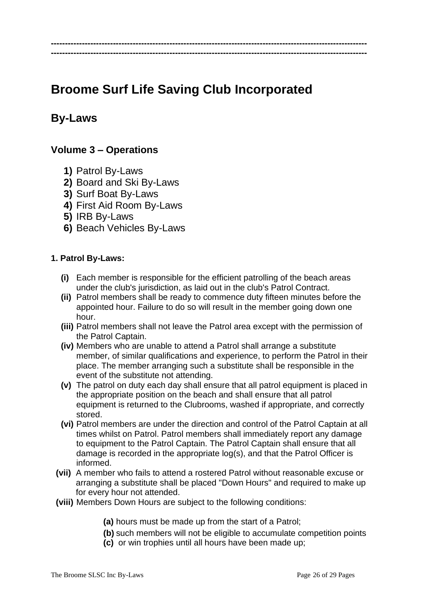# **Broome Surf Life Saving Club Incorporated**

**---------------------------------------------------------------------------------------------------------------- ----------------------------------------------------------------------------------------------------------------**

## **By-Laws**

## **Volume 3 – Operations**

- **1)** Patrol By-Laws
- **2)** Board and Ski By-Laws
- **3)** Surf Boat By-Laws
- **4)** First Aid Room By-Laws
- **5)** IRB By-Laws
- **6)** Beach Vehicles By-Laws

## **1. Patrol By-Laws:**

- **(i)** Each member is responsible for the efficient patrolling of the beach areas under the club's jurisdiction, as laid out in the club's Patrol Contract.
- **(ii)** Patrol members shall be ready to commence duty fifteen minutes before the appointed hour. Failure to do so will result in the member going down one hour.
- **(iii)** Patrol members shall not leave the Patrol area except with the permission of the Patrol Captain.
- **(iv)** Members who are unable to attend a Patrol shall arrange a substitute member, of similar qualifications and experience, to perform the Patrol in their place. The member arranging such a substitute shall be responsible in the event of the substitute not attending.
- **(v)** The patrol on duty each day shall ensure that all patrol equipment is placed in the appropriate position on the beach and shall ensure that all patrol equipment is returned to the Clubrooms, washed if appropriate, and correctly stored.
- **(vi)** Patrol members are under the direction and control of the Patrol Captain at all times whilst on Patrol. Patrol members shall immediately report any damage to equipment to the Patrol Captain. The Patrol Captain shall ensure that all damage is recorded in the appropriate log(s), and that the Patrol Officer is informed.
- **(vii)** A member who fails to attend a rostered Patrol without reasonable excuse or arranging a substitute shall be placed "Down Hours" and required to make up for every hour not attended.
- **(viii)** Members Down Hours are subject to the following conditions:
	- **(a)** hours must be made up from the start of a Patrol;
	- **(b)** such members will not be eligible to accumulate competition points
	- **(c)** or win trophies until all hours have been made up;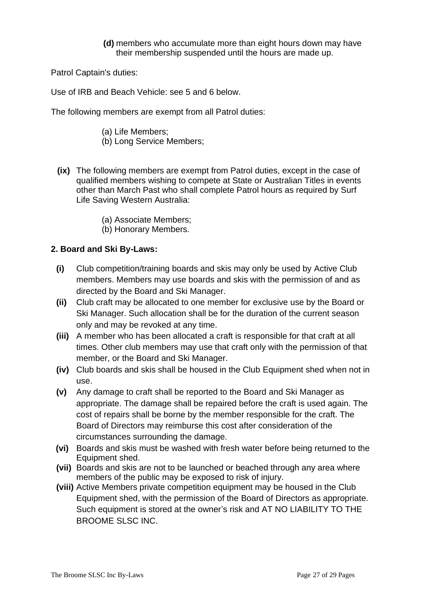**(d)** members who accumulate more than eight hours down may have their membership suspended until the hours are made up.

Patrol Captain's duties:

Use of IRB and Beach Vehicle: see 5 and 6 below.

The following members are exempt from all Patrol duties:

- (a) Life Members;
- (b) Long Service Members;
- **(ix)** The following members are exempt from Patrol duties, except in the case of qualified members wishing to compete at State or Australian Titles in events other than March Past who shall complete Patrol hours as required by Surf Life Saving Western Australia:
	- (a) Associate Members;
	- (b) Honorary Members.

## **2. Board and Ski By-Laws:**

- **(i)** Club competition/training boards and skis may only be used by Active Club members. Members may use boards and skis with the permission of and as directed by the Board and Ski Manager.
- **(ii)** Club craft may be allocated to one member for exclusive use by the Board or Ski Manager. Such allocation shall be for the duration of the current season only and may be revoked at any time.
- **(iii)** A member who has been allocated a craft is responsible for that craft at all times. Other club members may use that craft only with the permission of that member, or the Board and Ski Manager.
- **(iv)** Club boards and skis shall be housed in the Club Equipment shed when not in use.
- **(v)** Any damage to craft shall be reported to the Board and Ski Manager as appropriate. The damage shall be repaired before the craft is used again. The cost of repairs shall be borne by the member responsible for the craft. The Board of Directors may reimburse this cost after consideration of the circumstances surrounding the damage.
- **(vi)** Boards and skis must be washed with fresh water before being returned to the Equipment shed.
- **(vii)** Boards and skis are not to be launched or beached through any area where members of the public may be exposed to risk of injury.
- **(viii)** Active Members private competition equipment may be housed in the Club Equipment shed, with the permission of the Board of Directors as appropriate. Such equipment is stored at the owner's risk and AT NO LIABILITY TO THE BROOME SLSC INC.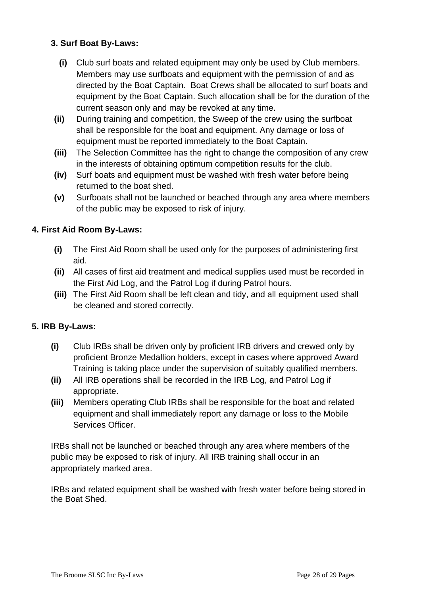## **3. Surf Boat By-Laws:**

- **(i)** Club surf boats and related equipment may only be used by Club members. Members may use surfboats and equipment with the permission of and as directed by the Boat Captain. Boat Crews shall be allocated to surf boats and equipment by the Boat Captain. Such allocation shall be for the duration of the current season only and may be revoked at any time.
- **(ii)** During training and competition, the Sweep of the crew using the surfboat shall be responsible for the boat and equipment. Any damage or loss of equipment must be reported immediately to the Boat Captain.
- **(iii)** The Selection Committee has the right to change the composition of any crew in the interests of obtaining optimum competition results for the club.
- **(iv)** Surf boats and equipment must be washed with fresh water before being returned to the boat shed.
- **(v)** Surfboats shall not be launched or beached through any area where members of the public may be exposed to risk of injury.

## **4. First Aid Room By-Laws:**

- **(i)** The First Aid Room shall be used only for the purposes of administering first aid.
- **(ii)** All cases of first aid treatment and medical supplies used must be recorded in the First Aid Log, and the Patrol Log if during Patrol hours.
- **(iii)** The First Aid Room shall be left clean and tidy, and all equipment used shall be cleaned and stored correctly.

## **5. IRB By-Laws:**

- **(i)** Club IRBs shall be driven only by proficient IRB drivers and crewed only by proficient Bronze Medallion holders, except in cases where approved Award Training is taking place under the supervision of suitably qualified members.
- **(ii)** All IRB operations shall be recorded in the IRB Log, and Patrol Log if appropriate.
- **(iii)** Members operating Club IRBs shall be responsible for the boat and related equipment and shall immediately report any damage or loss to the Mobile Services Officer.

IRBs shall not be launched or beached through any area where members of the public may be exposed to risk of injury. All IRB training shall occur in an appropriately marked area.

IRBs and related equipment shall be washed with fresh water before being stored in the Boat Shed.